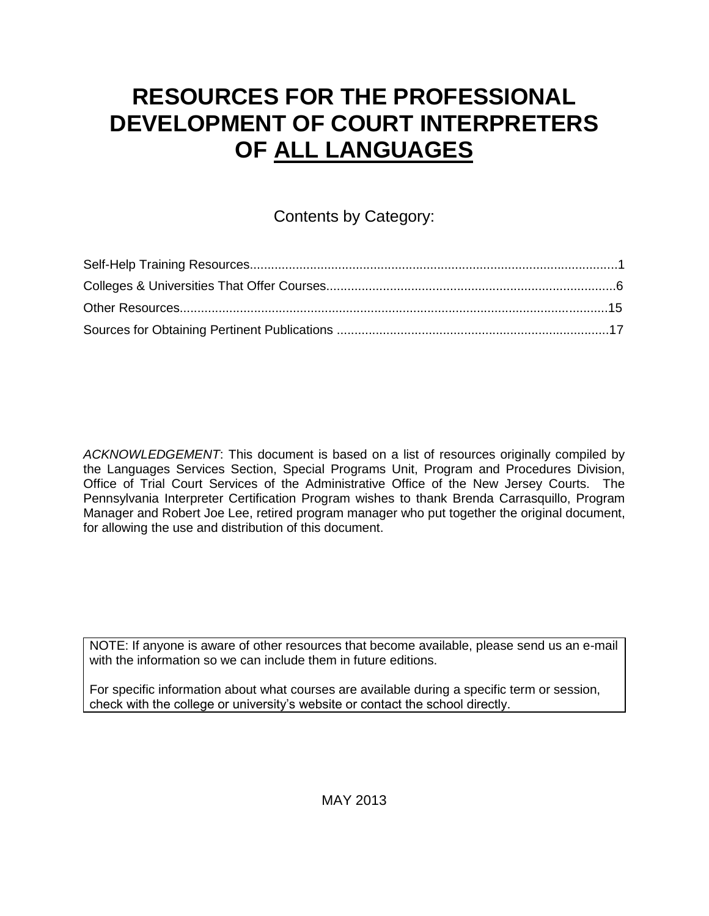# **RESOURCES FOR THE PROFESSIONAL DEVELOPMENT OF COURT INTERPRETERS OF ALL LANGUAGES**

# Contents by Category:

*ACKNOWLEDGEMENT*: This document is based on a list of resources originally compiled by the Languages Services Section, Special Programs Unit, Program and Procedures Division, Office of Trial Court Services of the Administrative Office of the New Jersey Courts. The Pennsylvania Interpreter Certification Program wishes to thank Brenda Carrasquillo, Program Manager and Robert Joe Lee, retired program manager who put together the original document, for allowing the use and distribution of this document.

NOTE: If anyone is aware of other resources that become available, please send us an e-mail with the information so we can include them in future editions.

For specific information about what courses are available during a specific term or session, check with the college or university's website or contact the school directly.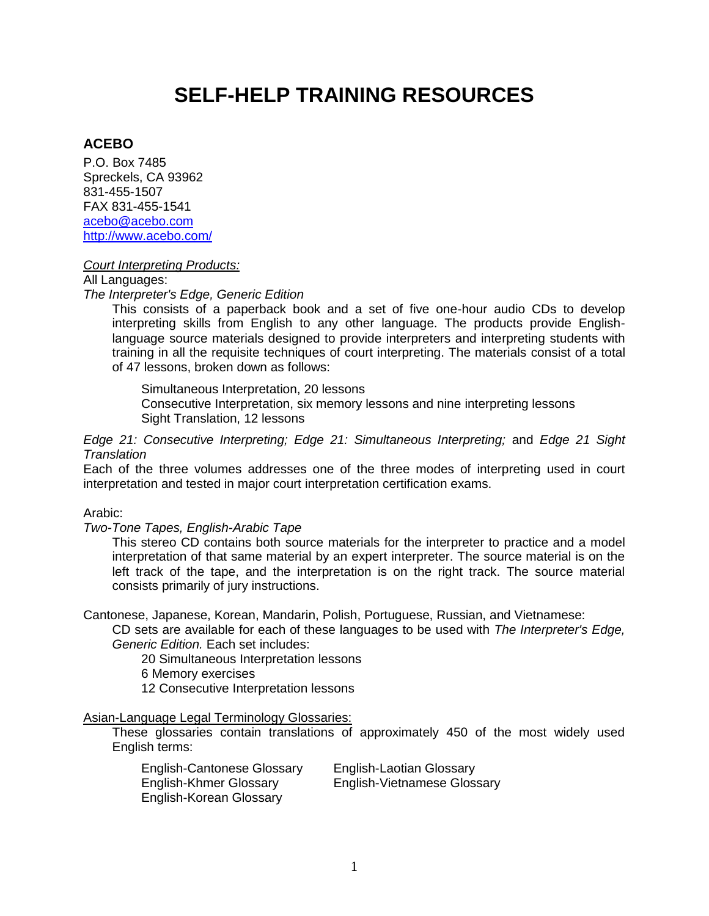# **SELF-HELP TRAINING RESOURCES**

## **ACEBO**

P.O. Box 7485 Spreckels, CA 93962 831-455-1507 FAX 831-455-1541 [acebo@acebo.com](mailto:acebo@acebo.com) <http://www.acebo.com/>

#### *Court Interpreting Products:*

All Languages:

*The Interpreter's Edge, Generic Edition* 

This consists of a paperback book and a set of five one-hour audio CDs to develop interpreting skills from English to any other language. The products provide Englishlanguage source materials designed to provide interpreters and interpreting students with training in all the requisite techniques of court interpreting. The materials consist of a total of 47 lessons, broken down as follows:

Simultaneous Interpretation, 20 lessons Consecutive Interpretation, six memory lessons and nine interpreting lessons Sight Translation, 12 lessons

*Edge 21: Consecutive Interpreting; Edge 21: Simultaneous Interpreting;* and *Edge 21 Sight Translation* 

Each of the three volumes addresses one of the three modes of interpreting used in court interpretation and tested in major court interpretation certification exams.

Arabic:

*Two-Tone Tapes, English-Arabic Tape* 

This stereo CD contains both source materials for the interpreter to practice and a model interpretation of that same material by an expert interpreter. The source material is on the left track of the tape, and the interpretation is on the right track. The source material consists primarily of jury instructions.

Cantonese, Japanese, Korean, Mandarin, Polish, Portuguese, Russian, and Vietnamese:

CD sets are available for each of these languages to be used with *The Interpreter's Edge, Generic Edition.* Each set includes:

20 Simultaneous Interpretation lessons

6 Memory exercises

12 Consecutive Interpretation lessons

Asian-Language Legal Terminology Glossaries:

These glossaries contain translations of approximately 450 of the most widely used English terms:

| <b>English-Cantonese Glossary</b> | <b>English-Laotian Glossary</b>    |
|-----------------------------------|------------------------------------|
| English-Khmer Glossary            | <b>English-Vietnamese Glossary</b> |
| English-Korean Glossary           |                                    |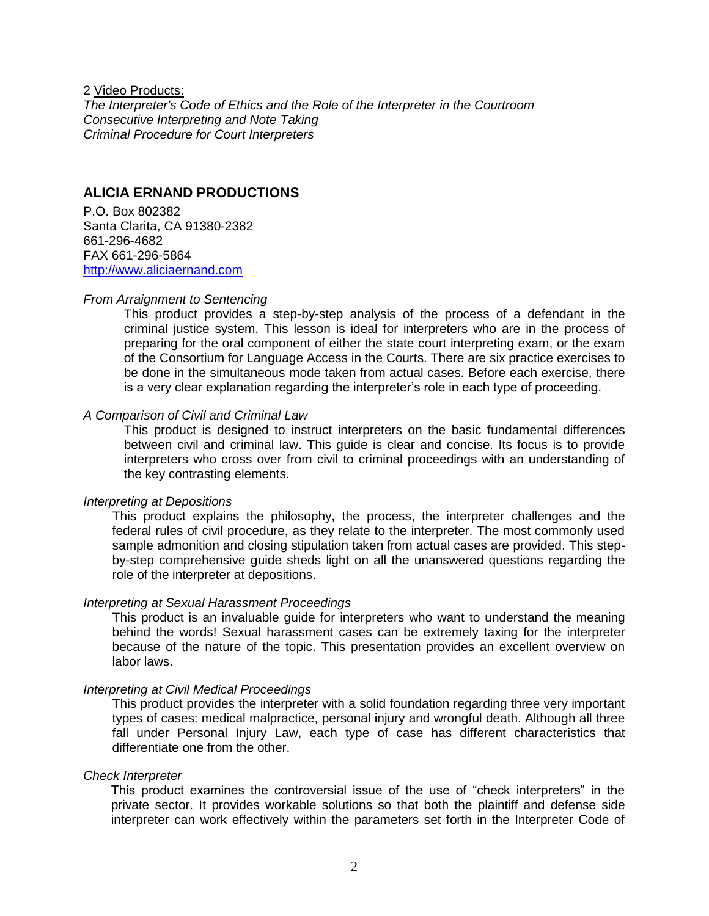2 Video Products:

*The Interpreter's Code of Ethics and the Role of the Interpreter in the Courtroom Consecutive Interpreting and Note Taking Criminal Procedure for Court Interpreters*

### **ALICIA ERNAND PRODUCTIONS**

P.O. Box 802382 Santa Clarita, CA 91380-2382 661-296-4682 FAX 661-296-5864 [http://www.aliciaernand.com](http://www.aliciaernand.com/)

#### *From Arraignment to Sentencing*

This product provides a step-by-step analysis of the process of a defendant in the criminal justice system. This lesson is ideal for interpreters who are in the process of preparing for the oral component of either the state court interpreting exam, or the exam of the Consortium for Language Access in the Courts. There are six practice exercises to be done in the simultaneous mode taken from actual cases. Before each exercise, there is a very clear explanation regarding the interpreter's role in each type of proceeding.

#### *A Comparison of Civil and Criminal Law*

This product is designed to instruct interpreters on the basic fundamental differences between civil and criminal law. This guide is clear and concise. Its focus is to provide interpreters who cross over from civil to criminal proceedings with an understanding of the key contrasting elements.

#### *Interpreting at Depositions*

This product explains the philosophy, the process, the interpreter challenges and the federal rules of civil procedure, as they relate to the interpreter. The most commonly used sample admonition and closing stipulation taken from actual cases are provided. This stepby-step comprehensive guide sheds light on all the unanswered questions regarding the role of the interpreter at depositions.

#### *Interpreting at Sexual Harassment Proceedings*

This product is an invaluable guide for interpreters who want to understand the meaning behind the words! Sexual harassment cases can be extremely taxing for the interpreter because of the nature of the topic. This presentation provides an excellent overview on labor laws.

#### *Interpreting at Civil Medical Proceedings*

This product provides the interpreter with a solid foundation regarding three very important types of cases: medical malpractice, personal injury and wrongful death. Although all three fall under Personal Injury Law, each type of case has different characteristics that differentiate one from the other.

#### *Check Interpreter*

This product examines the controversial issue of the use of "check interpreters" in the private sector. It provides workable solutions so that both the plaintiff and defense side interpreter can work effectively within the parameters set forth in the Interpreter Code of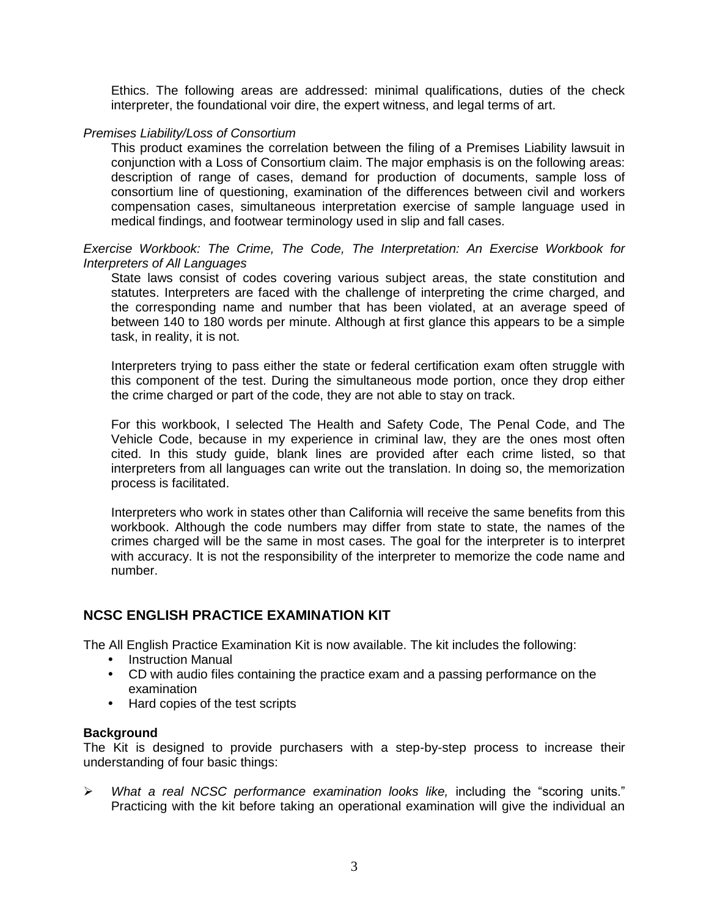Ethics. The following areas are addressed: minimal qualifications, duties of the check interpreter, the foundational voir dire, the expert witness, and legal terms of art.

#### *Premises Liability/Loss of Consortium*

This product examines the correlation between the filing of a Premises Liability lawsuit in conjunction with a Loss of Consortium claim. The major emphasis is on the following areas: description of range of cases, demand for production of documents, sample loss of consortium line of questioning, examination of the differences between civil and workers compensation cases, simultaneous interpretation exercise of sample language used in medical findings, and footwear terminology used in slip and fall cases.

*Exercise Workbook: The Crime, The Code, The Interpretation: An Exercise Workbook for Interpreters of All Languages* 

State laws consist of codes covering various subject areas, the state constitution and statutes. Interpreters are faced with the challenge of interpreting the crime charged, and the corresponding name and number that has been violated, at an average speed of between 140 to 180 words per minute. Although at first glance this appears to be a simple task, in reality, it is not.

Interpreters trying to pass either the state or federal certification exam often struggle with this component of the test. During the simultaneous mode portion, once they drop either the crime charged or part of the code, they are not able to stay on track.

For this workbook, I selected The Health and Safety Code, The Penal Code, and The Vehicle Code, because in my experience in criminal law, they are the ones most often cited. In this study guide, blank lines are provided after each crime listed, so that interpreters from all languages can write out the translation. In doing so, the memorization process is facilitated.

Interpreters who work in states other than California will receive the same benefits from this workbook. Although the code numbers may differ from state to state, the names of the crimes charged will be the same in most cases. The goal for the interpreter is to interpret with accuracy. It is not the responsibility of the interpreter to memorize the code name and number.

## **NCSC ENGLISH PRACTICE EXAMINATION KIT**

The All English Practice Examination Kit is now available. The kit includes the following:

- Instruction Manual
- CD with audio files containing the practice exam and a passing performance on the examination
- Hard copies of the test scripts

#### **Background**

The Kit is designed to provide purchasers with a step-by-step process to increase their understanding of four basic things:

 *What a real NCSC performance examination looks like,* including the "scoring units." Practicing with the kit before taking an operational examination will give the individual an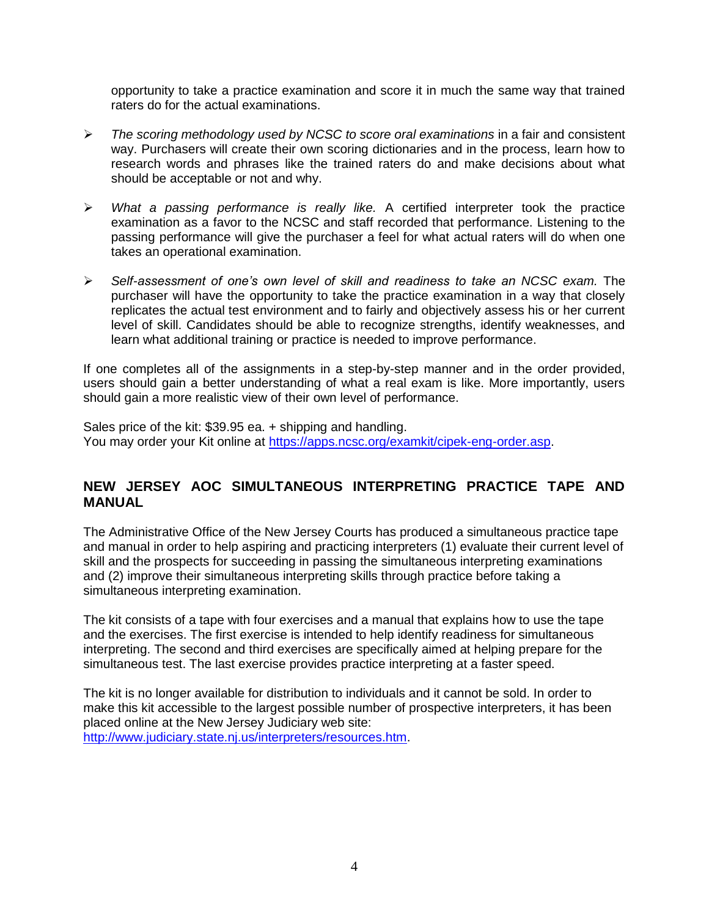opportunity to take a practice examination and score it in much the same way that trained raters do for the actual examinations.

- *The scoring methodology used by NCSC to score oral examinations* in a fair and consistent way. Purchasers will create their own scoring dictionaries and in the process, learn how to research words and phrases like the trained raters do and make decisions about what should be acceptable or not and why.
- *What a passing performance is really like.* A certified interpreter took the practice examination as a favor to the NCSC and staff recorded that performance. Listening to the passing performance will give the purchaser a feel for what actual raters will do when one takes an operational examination.
- *Self-assessment of one's own level of skill and readiness to take an NCSC exam.* The purchaser will have the opportunity to take the practice examination in a way that closely replicates the actual test environment and to fairly and objectively assess his or her current level of skill. Candidates should be able to recognize strengths, identify weaknesses, and learn what additional training or practice is needed to improve performance.

If one completes all of the assignments in a step-by-step manner and in the order provided, users should gain a better understanding of what a real exam is like. More importantly, users should gain a more realistic view of their own level of performance.

Sales price of the kit: \$39.95 ea. + shipping and handling. You may order your Kit online at [https://apps.ncsc.org/examkit/cipek-eng-order.asp.](https://apps.ncsc.org/examkit/cipek-eng-order.asp)

# **NEW JERSEY AOC SIMULTANEOUS INTERPRETING PRACTICE TAPE AND MANUAL**

The Administrative Office of the New Jersey Courts has produced a simultaneous practice tape and manual in order to help aspiring and practicing interpreters (1) evaluate their current level of skill and the prospects for succeeding in passing the simultaneous interpreting examinations and (2) improve their simultaneous interpreting skills through practice before taking a simultaneous interpreting examination.

The kit consists of a tape with four exercises and a manual that explains how to use the tape and the exercises. The first exercise is intended to help identify readiness for simultaneous interpreting. The second and third exercises are specifically aimed at helping prepare for the simultaneous test. The last exercise provides practice interpreting at a faster speed.

The kit is no longer available for distribution to individuals and it cannot be sold. In order to make this kit accessible to the largest possible number of prospective interpreters, it has been placed online at the New Jersey Judiciary web site: [http://www.judiciary.state.nj.us/interpreters/resources.htm.](http://www.judiciary.state.nj.us/interpreters/resources.htm)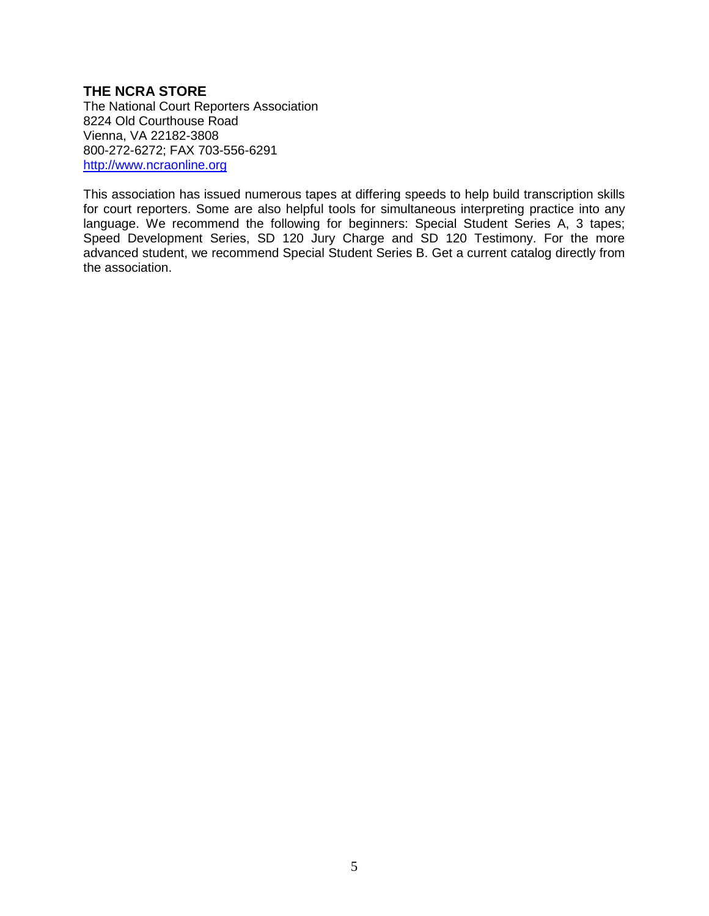### **THE NCRA STORE**

The National Court Reporters Association 8224 Old Courthouse Road Vienna, VA 22182-3808 800-272-6272; FAX 703-556-6291 [http://www.ncraonline.org](http://www.ncraonline.org/)

This association has issued numerous tapes at differing speeds to help build transcription skills for court reporters. Some are also helpful tools for simultaneous interpreting practice into any language. We recommend the following for beginners: Special Student Series A, 3 tapes; Speed Development Series, SD 120 Jury Charge and SD 120 Testimony. For the more advanced student, we recommend Special Student Series B. Get a current catalog directly from the association.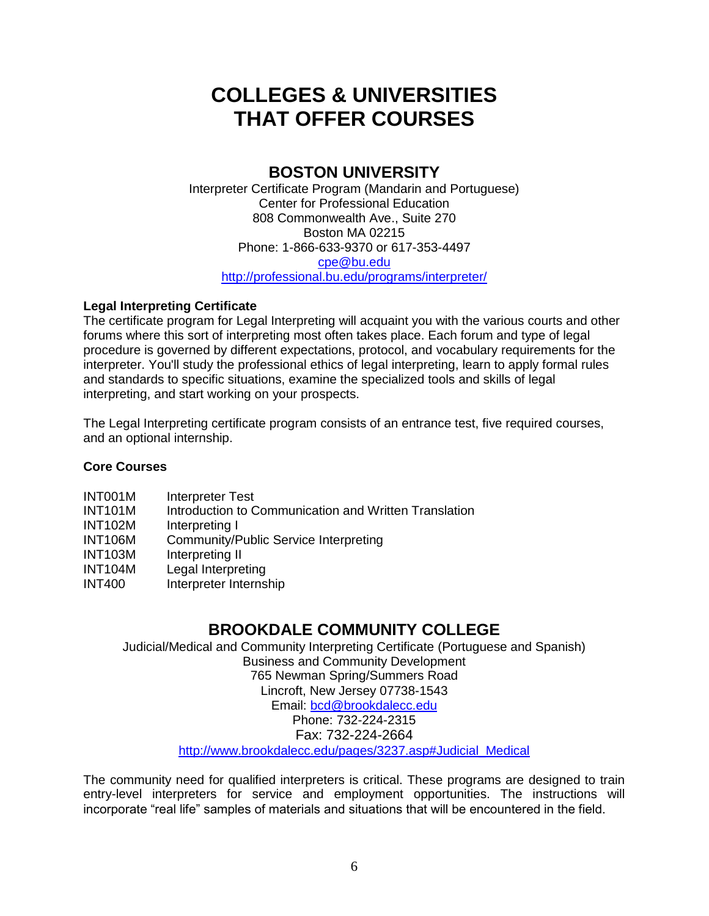# **COLLEGES & UNIVERSITIES THAT OFFER COURSES**

# **BOSTON UNIVERSITY**

Interpreter Certificate Program (Mandarin and Portuguese) Center for Professional Education 808 Commonwealth Ave., Suite 270 Boston MA 02215 Phone: 1-866-633-9370 or 617-353-4497 [cpe@bu.edu](mailto:cpe@bu.edu) <http://professional.bu.edu/programs/interpreter/>

### **Legal Interpreting Certificate**

The certificate program for Legal Interpreting will acquaint you with the various courts and other forums where this sort of interpreting most often takes place. Each forum and type of legal procedure is governed by different expectations, protocol, and vocabulary requirements for the interpreter. You'll study the professional ethics of legal interpreting, learn to apply formal rules and standards to specific situations, examine the specialized tools and skills of legal interpreting, and start working on your prospects.

The Legal Interpreting certificate program consists of an entrance test, five required courses, and an optional internship.

## **Core Courses**

| INT001M        | Interpreter Test                                      |
|----------------|-------------------------------------------------------|
| <b>INT101M</b> | Introduction to Communication and Written Translation |
| <b>INT102M</b> | Interpreting I                                        |
| <b>INT106M</b> | Community/Public Service Interpreting                 |
| <b>INT103M</b> | Interpreting II                                       |
| <b>INT104M</b> | Legal Interpreting                                    |
| <b>INT400</b>  | Interpreter Internship                                |

# **BROOKDALE COMMUNITY COLLEGE**

Judicial/Medical and Community Interpreting Certificate (Portuguese and Spanish) Business and Community Development 765 Newman Spring/Summers Road Lincroft, New Jersey 07738-1543 Email: [bcd@brookdalecc.edu](mailto:bcd@brookdalecc.edu) Phone: 732-224-2315 Fax: 732-224-2664 [http://www.brookdalecc.edu/pages/3237.asp#Judicial\\_Medical](http://www.brookdalecc.edu/pages/3237.asp#Judicial_Medical)

The community need for qualified interpreters is critical. These programs are designed to train entry-level interpreters for service and employment opportunities. The instructions will incorporate "real life" samples of materials and situations that will be encountered in the field.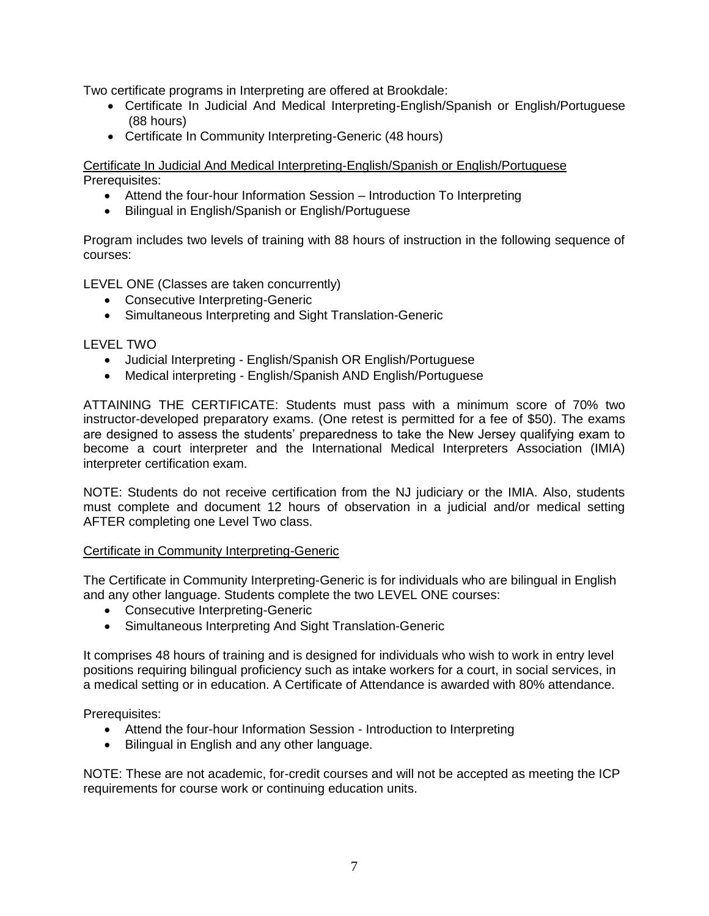Two certificate programs in Interpreting are offered at Brookdale:

- Certificate In Judicial And Medical Interpreting-English/Spanish or English/Portuguese (88 hours)
- Certificate In Community Interpreting-Generic (48 hours)

Certificate In Judicial And Medical Interpreting-English/Spanish or English/Portuguese Prerequisites:

- Attend the four-hour Information Session Introduction To Interpreting
- Bilingual in English/Spanish or English/Portuguese

Program includes two levels of training with 88 hours of instruction in the following sequence of courses:

LEVEL ONE (Classes are taken concurrently)

- Consecutive Interpreting-Generic
- Simultaneous Interpreting and Sight Translation-Generic

#### LEVEL TWO

- Judicial Interpreting English/Spanish OR English/Portuguese
- Medical interpreting English/Spanish AND English/Portuguese

ATTAINING THE CERTIFICATE: Students must pass with a minimum score of 70% two instructor-developed preparatory exams. (One retest is permitted for a fee of \$50). The exams are designed to assess the students' preparedness to take the New Jersey qualifying exam to become a court interpreter and the International Medical Interpreters Association (IMIA) interpreter certification exam.

NOTE: Students do not receive certification from the NJ judiciary or the IMIA. Also, students must complete and document 12 hours of observation in a judicial and/or medical setting AFTER completing one Level Two class.

#### Certificate in Community Interpreting-Generic

The Certificate in Community Interpreting-Generic is for individuals who are bilingual in English and any other language. Students complete the two LEVEL ONE courses:

- Consecutive Interpreting-Generic
- Simultaneous Interpreting And Sight Translation-Generic

It comprises 48 hours of training and is designed for individuals who wish to work in entry level positions requiring bilingual proficiency such as intake workers for a court, in social services, in a medical setting or in education. A Certificate of Attendance is awarded with 80% attendance.

Prerequisites:

- Attend the four-hour Information Session Introduction to Interpreting
- Bilingual in English and any other language.

NOTE: These are not academic, for-credit courses and will not be accepted as meeting the ICP requirements for course work or continuing education units.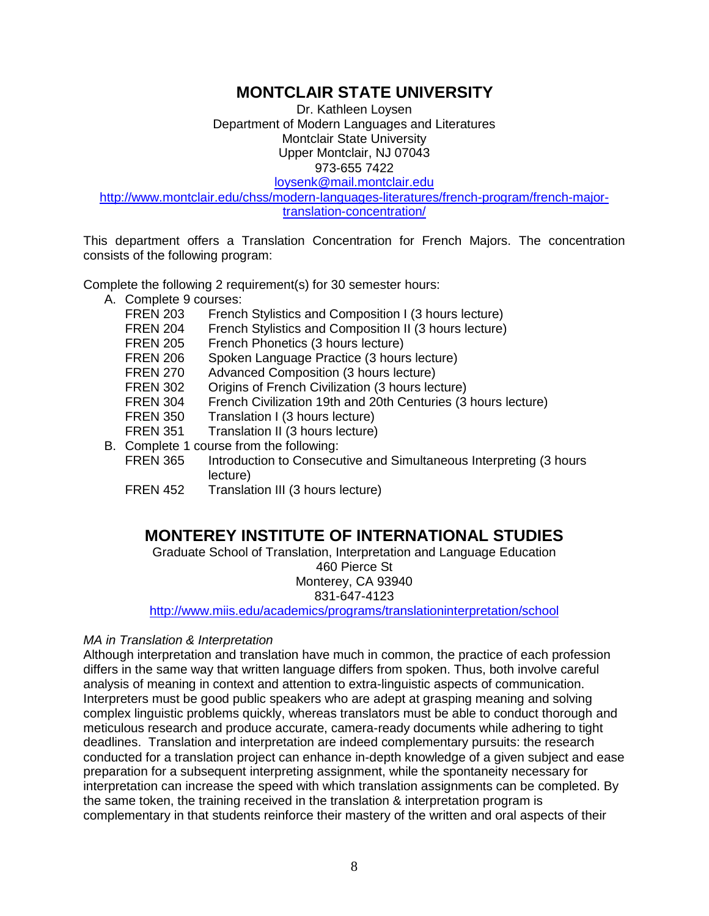# **MONTCLAIR STATE UNIVERSITY**

Dr. Kathleen Loysen Department of Modern Languages and Literatures Montclair State University Upper Montclair, NJ 07043 973-655 7422

[loysenk@mail.montclair.edu](mailto:loysenk@mail.montclair.edu)

[http://www.montclair.edu/chss/modern-languages-literatures/french-program/french-major](http://www.montclair.edu/chss/modern-languages-literatures/french-program/french-major-translation-concentration/)[translation-concentration/](http://www.montclair.edu/chss/modern-languages-literatures/french-program/french-major-translation-concentration/)

This department offers a Translation Concentration for French Majors. The concentration consists of the following program:

Complete the following 2 requirement(s) for 30 semester hours:

- A. Complete 9 courses:
	- FREN 203 French Stylistics and Composition I (3 hours lecture)
	- FREN 204 French Stylistics and Composition II (3 hours lecture)
	- FREN 205 French Phonetics (3 hours lecture)
	- FREN 206 Spoken Language Practice (3 hours lecture)
	- FREN 270 Advanced Composition (3 hours lecture)
	- FREN 302 Origins of French Civilization (3 hours lecture)
	- FREN 304 French Civilization 19th and 20th Centuries (3 hours lecture)
	- FREN 350 Translation I (3 hours lecture)
	- FREN 351 Translation II (3 hours lecture)
- B. Complete 1 course from the following:
	- FREN 365 Introduction to Consecutive and Simultaneous Interpreting (3 hours lecture)
	- FREN 452 Translation III (3 hours lecture)

# **MONTEREY INSTITUTE OF INTERNATIONAL STUDIES**

Graduate School of Translation, Interpretation and Language Education 460 Pierce St Monterey, CA 93940

831-647-4123

<http://www.miis.edu/academics/programs/translationinterpretation/school>

#### *MA in Translation & Interpretation*

Although interpretation and translation have much in common, the practice of each profession differs in the same way that written language differs from spoken. Thus, both involve careful analysis of meaning in context and attention to extra-linguistic aspects of communication. Interpreters must be good public speakers who are adept at grasping meaning and solving complex linguistic problems quickly, whereas translators must be able to conduct thorough and meticulous research and produce accurate, camera-ready documents while adhering to tight deadlines. Translation and interpretation are indeed complementary pursuits: the research conducted for a translation project can enhance in-depth knowledge of a given subject and ease preparation for a subsequent interpreting assignment, while the spontaneity necessary for interpretation can increase the speed with which translation assignments can be completed. By the same token, the training received in the translation & interpretation program is complementary in that students reinforce their mastery of the written and oral aspects of their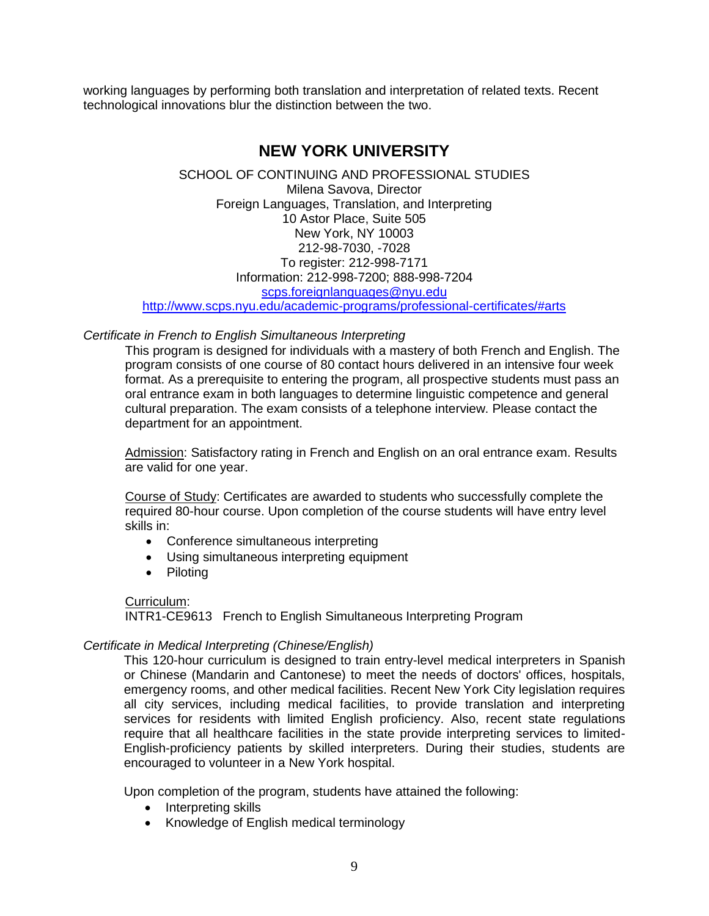working languages by performing both translation and interpretation of related texts. Recent technological innovations blur the distinction between the two.

# **NEW YORK UNIVERSITY**

SCHOOL OF CONTINUING AND PROFESSIONAL STUDIES Milena Savova, Director Foreign Languages, Translation, and Interpreting 10 Astor Place, Suite 505 New York, NY 10003 212-98-7030, -7028 To register: 212-998-7171 Information: 212-998-7200; 888-998-7204 [scps.foreignlanguages@nyu.edu](mailto:scps.foreignlanguages@nyu.edu) <http://www.scps.nyu.edu/academic-programs/professional-certificates/#arts>

*Certificate in French to English Simultaneous Interpreting*

This program is designed for individuals with a mastery of both French and English. The program consists of one course of 80 contact hours delivered in an intensive four week format. As a prerequisite to entering the program, all prospective students must pass an oral entrance exam in both languages to determine linguistic competence and general cultural preparation. The exam consists of a telephone interview. Please contact the department for an appointment.

Admission: Satisfactory rating in French and English on an oral entrance exam. Results are valid for one year.

Course of Study: Certificates are awarded to students who successfully complete the required 80-hour course. Upon completion of the course students will have entry level skills in:

- Conference simultaneous interpreting
- Using simultaneous interpreting equipment
- Piloting

#### Curriculum:

INTR1-CE9613 French to English Simultaneous Interpreting Program

#### *Certificate in Medical Interpreting (Chinese/English)*

This 120-hour curriculum is designed to train entry-level medical interpreters in Spanish or Chinese (Mandarin and Cantonese) to meet the needs of doctors' offices, hospitals, emergency rooms, and other medical facilities. Recent New York City legislation requires all city services, including medical facilities, to provide translation and interpreting services for residents with limited English proficiency. Also, recent state regulations require that all healthcare facilities in the state provide interpreting services to limited-English-proficiency patients by skilled interpreters. During their studies, students are encouraged to volunteer in a New York hospital.

Upon completion of the program, students have attained the following:

- Interpreting skills
- Knowledge of English medical terminology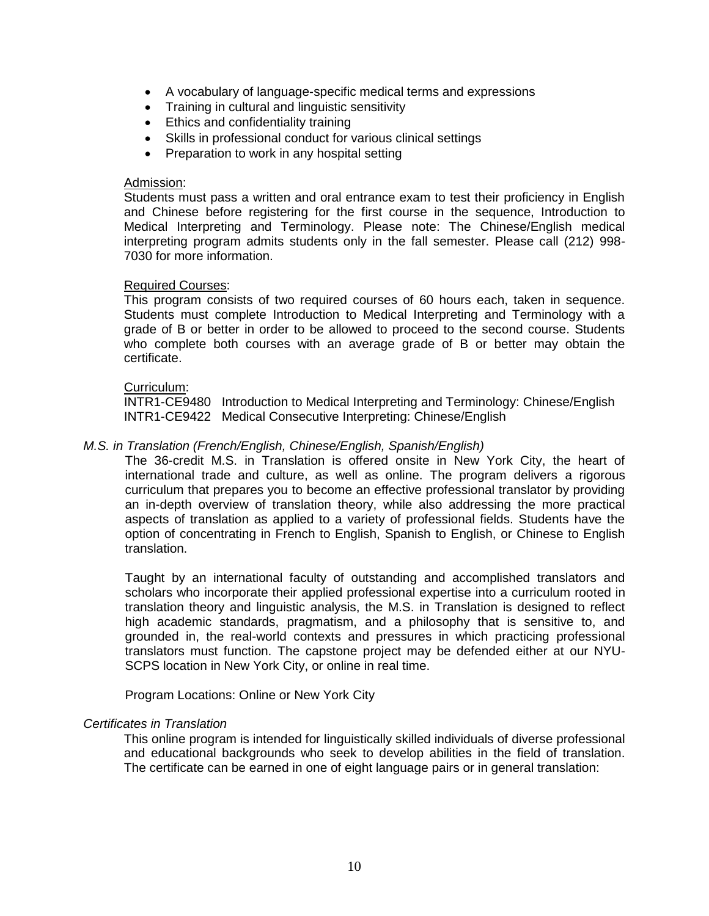- A vocabulary of language-specific medical terms and expressions
- Training in cultural and linguistic sensitivity
- Ethics and confidentiality training
- Skills in professional conduct for various clinical settings
- Preparation to work in any hospital setting

#### Admission:

Students must pass a written and oral entrance exam to test their proficiency in English and Chinese before registering for the first course in the sequence, Introduction to Medical Interpreting and Terminology. Please note: The Chinese/English medical interpreting program admits students only in the fall semester. Please call (212) 998- 7030 for more information.

#### Required Courses:

This program consists of two required courses of 60 hours each, taken in sequence. Students must complete Introduction to Medical Interpreting and Terminology with a grade of B or better in order to be allowed to proceed to the second course. Students who complete both courses with an average grade of B or better may obtain the certificate.

#### Curriculum:

INTR1-CE9480 Introduction to Medical Interpreting and Terminology: Chinese/English INTR1-CE9422 Medical Consecutive Interpreting: Chinese/English

#### *M.S. in Translation (French/English, Chinese/English, Spanish/English)*

The 36-credit M.S. in Translation is offered onsite in New York City, the heart of international trade and culture, as well as online. The program delivers a rigorous curriculum that prepares you to become an effective professional translator by providing an in-depth overview of translation theory, while also addressing the more practical aspects of translation as applied to a variety of professional fields. Students have the option of concentrating in French to English, Spanish to English, or Chinese to English translation.

Taught by an international faculty of outstanding and accomplished translators and scholars who incorporate their applied professional expertise into a curriculum rooted in translation theory and linguistic analysis, the M.S. in Translation is designed to reflect high academic standards, pragmatism, and a philosophy that is sensitive to, and grounded in, the real-world contexts and pressures in which practicing professional translators must function. The capstone project may be defended either at our NYU-SCPS location in New York City, or online in real time.

Program Locations: Online or New York City

#### *Certificates in Translation*

This online program is intended for linguistically skilled individuals of diverse professional and educational backgrounds who seek to develop abilities in the field of translation. The certificate can be earned in one of eight language pairs or in general translation: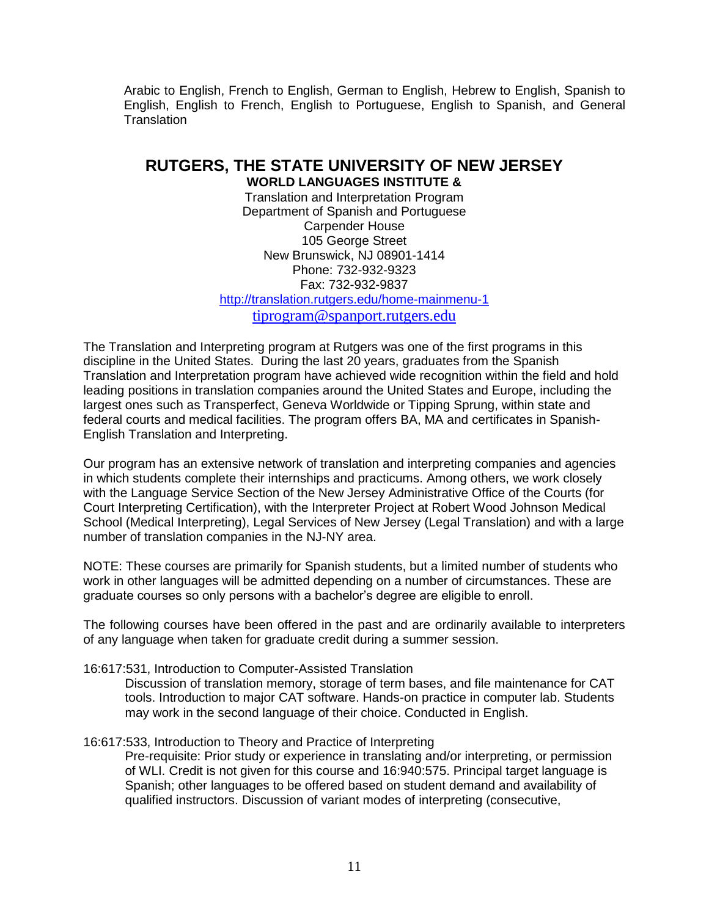Arabic to English, French to English, German to English, Hebrew to English, Spanish to English, English to French, English to Portuguese, English to Spanish, and General **Translation** 

# **RUTGERS, THE STATE UNIVERSITY OF NEW JERSEY**

**WORLD LANGUAGES INSTITUTE &**  Translation and Interpretation Program Department of Spanish and Portuguese Carpender House 105 George Street New Brunswick, NJ 08901-1414 Phone: 732-932-9323 Fax: 732-932-9837 <http://translation.rutgers.edu/home-mainmenu-1> [tiprogram@spanport.rutgers.edu](mailto:tiprogram@spanport.rutgers.edu)

The Translation and Interpreting program at Rutgers was one of the first programs in this discipline in the United States. During the last 20 years, graduates from the Spanish Translation and Interpretation program have achieved wide recognition within the field and hold leading positions in translation companies around the United States and Europe, including the largest ones such as Transperfect, Geneva Worldwide or Tipping Sprung, within state and federal courts and medical facilities. The program offers BA, MA and certificates in Spanish-English Translation and Interpreting.

Our program has an extensive network of translation and interpreting companies and agencies in which students complete their internships and practicums. Among others, we work closely with the Language Service Section of the New Jersey Administrative Office of the Courts (for Court Interpreting Certification), with the Interpreter Project at Robert Wood Johnson Medical School (Medical Interpreting), Legal Services of New Jersey (Legal Translation) and with a large number of translation companies in the NJ-NY area.

NOTE: These courses are primarily for Spanish students, but a limited number of students who work in other languages will be admitted depending on a number of circumstances. These are graduate courses so only persons with a bachelor's degree are eligible to enroll.

The following courses have been offered in the past and are ordinarily available to interpreters of any language when taken for graduate credit during a summer session.

16:617:531, Introduction to Computer-Assisted Translation

Discussion of translation memory, storage of term bases, and file maintenance for CAT tools. Introduction to major CAT software. Hands-on practice in computer lab. Students may work in the second language of their choice. Conducted in English.

16:617:533, Introduction to Theory and Practice of Interpreting

Pre-requisite: Prior study or experience in translating and/or interpreting, or permission of WLI. Credit is not given for this course and 16:940:575. Principal target language is Spanish; other languages to be offered based on student demand and availability of qualified instructors. Discussion of variant modes of interpreting (consecutive,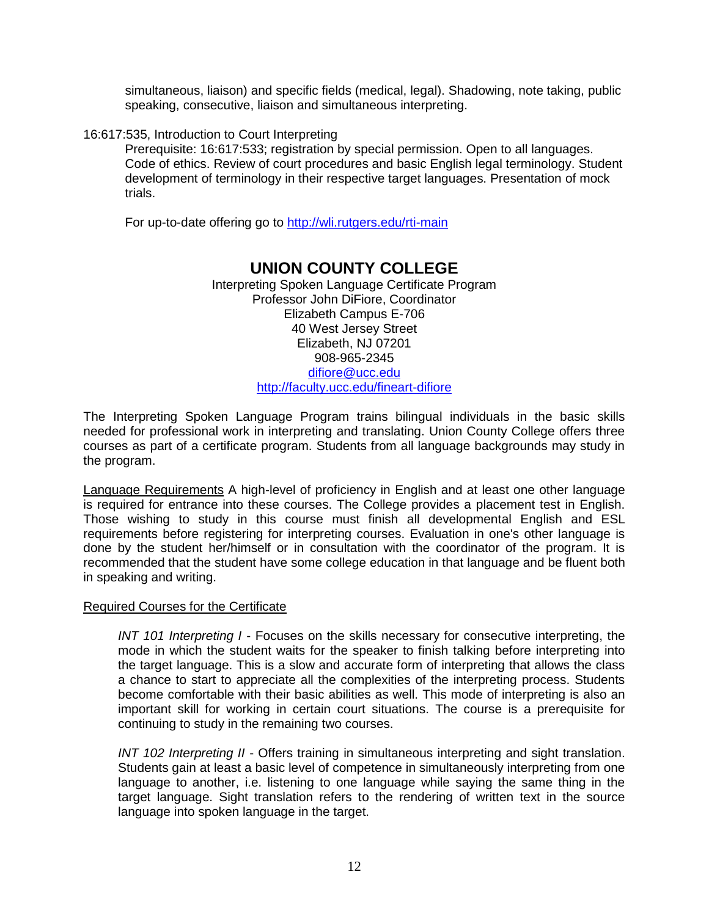simultaneous, liaison) and specific fields (medical, legal). Shadowing, note taking, public speaking, consecutive, liaison and simultaneous interpreting.

16:617:535, Introduction to Court Interpreting

Prerequisite: 16:617:533; registration by special permission. Open to all languages. Code of ethics. Review of court procedures and basic English legal terminology. Student development of terminology in their respective target languages. Presentation of mock trials.

For up-to-date offering go to<http://wli.rutgers.edu/rti-main>

# **UNION COUNTY COLLEGE**

Interpreting Spoken Language Certificate Program Professor John DiFiore, Coordinator Elizabeth Campus E-706 40 West Jersey Street Elizabeth, NJ 07201 908-965-2345 [difiore@ucc.edu](mailto:difiore@ucc.edu) <http://faculty.ucc.edu/fineart-difiore>

The Interpreting Spoken Language Program trains bilingual individuals in the basic skills needed for professional work in interpreting and translating. Union County College offers three courses as part of a certificate program. Students from all language backgrounds may study in the program.

Language Requirements A high-level of proficiency in English and at least one other language is required for entrance into these courses. The College provides a placement test in English. Those wishing to study in this course must finish all developmental English and ESL requirements before registering for interpreting courses. Evaluation in one's other language is done by the student her/himself or in consultation with the coordinator of the program. It is recommended that the student have some college education in that language and be fluent both in speaking and writing.

#### Required Courses for the Certificate

*INT 101 Interpreting I* - Focuses on the skills necessary for consecutive interpreting, the mode in which the student waits for the speaker to finish talking before interpreting into the target language. This is a slow and accurate form of interpreting that allows the class a chance to start to appreciate all the complexities of the interpreting process. Students become comfortable with their basic abilities as well. This mode of interpreting is also an important skill for working in certain court situations. The course is a prerequisite for continuing to study in the remaining two courses.

*INT 102 Interpreting II* - Offers training in simultaneous interpreting and sight translation. Students gain at least a basic level of competence in simultaneously interpreting from one language to another, i.e. listening to one language while saying the same thing in the target language. Sight translation refers to the rendering of written text in the source language into spoken language in the target.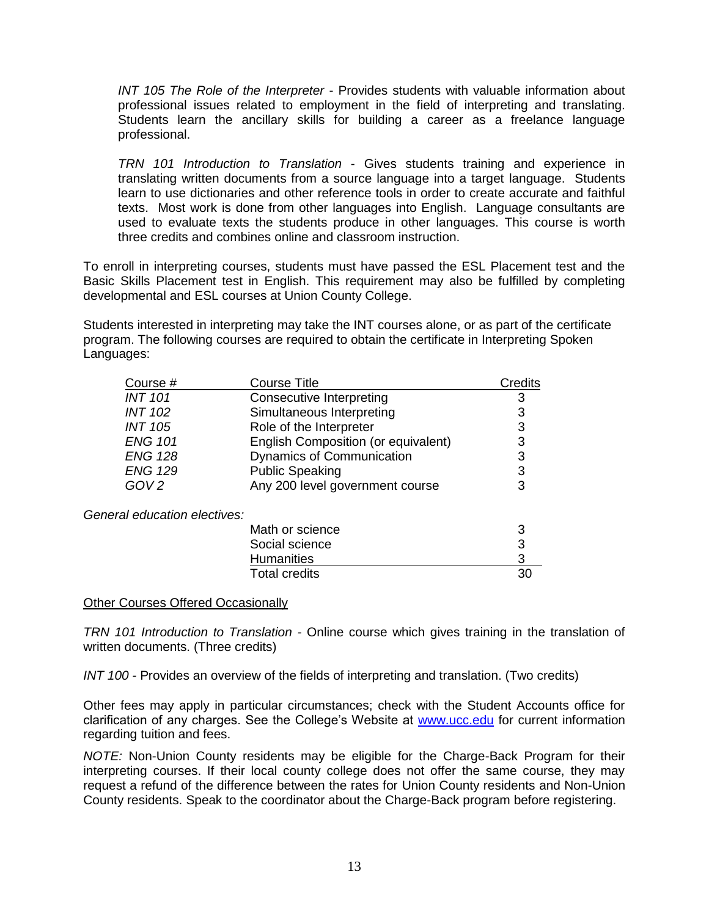*INT 105 The Role of the Interpreter* - Provides students with valuable information about professional issues related to employment in the field of interpreting and translating. Students learn the ancillary skills for building a career as a freelance language professional.

*TRN 101 Introduction to Translation* - Gives students training and experience in translating written documents from a source language into a target language. Students learn to use dictionaries and other reference tools in order to create accurate and faithful texts. Most work is done from other languages into English. Language consultants are used to evaluate texts the students produce in other languages. This course is worth three credits and combines online and classroom instruction.

To enroll in interpreting courses, students must have passed the ESL Placement test and the Basic Skills Placement test in English. This requirement may also be fulfilled by completing developmental and ESL courses at Union County College.

Students interested in interpreting may take the INT courses alone, or as part of the certificate program. The following courses are required to obtain the certificate in Interpreting Spoken Languages:

| Course #                     | <b>Course Title</b>                 | Credits |
|------------------------------|-------------------------------------|---------|
| <b>INT 101</b>               | <b>Consecutive Interpreting</b>     | 3       |
| <b>INT 102</b>               | Simultaneous Interpreting           | 3       |
| INT 105                      | Role of the Interpreter             | 3       |
| <b>ENG 101</b>               | English Composition (or equivalent) | 3       |
| <b>ENG 128</b>               | Dynamics of Communication           | 3       |
| <b>ENG 129</b>               | <b>Public Speaking</b>              | 3       |
| GOV <sub>2</sub>             | Any 200 level government course     | 3       |
| General education electives: |                                     |         |
|                              | Math or science                     | 3       |
|                              | Social science                      | 3       |
|                              | <b>Humanities</b>                   | 3       |
|                              | <b>Total credits</b>                | 30      |

#### Other Courses Offered Occasionally

*TRN 101 Introduction to Translation -* Online course which gives training in the translation of written documents. (Three credits)

*INT 100 -* Provides an overview of the fields of interpreting and translation. (Two credits)

Other fees may apply in particular circumstances; check with the Student Accounts office for clarification of any charges. See the College's Website at [www.ucc.edu](http://www.ucc.edu/) for current information regarding tuition and fees.

*NOTE:* Non-Union County residents may be eligible for the Charge-Back Program for their interpreting courses. If their local county college does not offer the same course, they may request a refund of the difference between the rates for Union County residents and Non-Union County residents. Speak to the coordinator about the Charge-Back program before registering.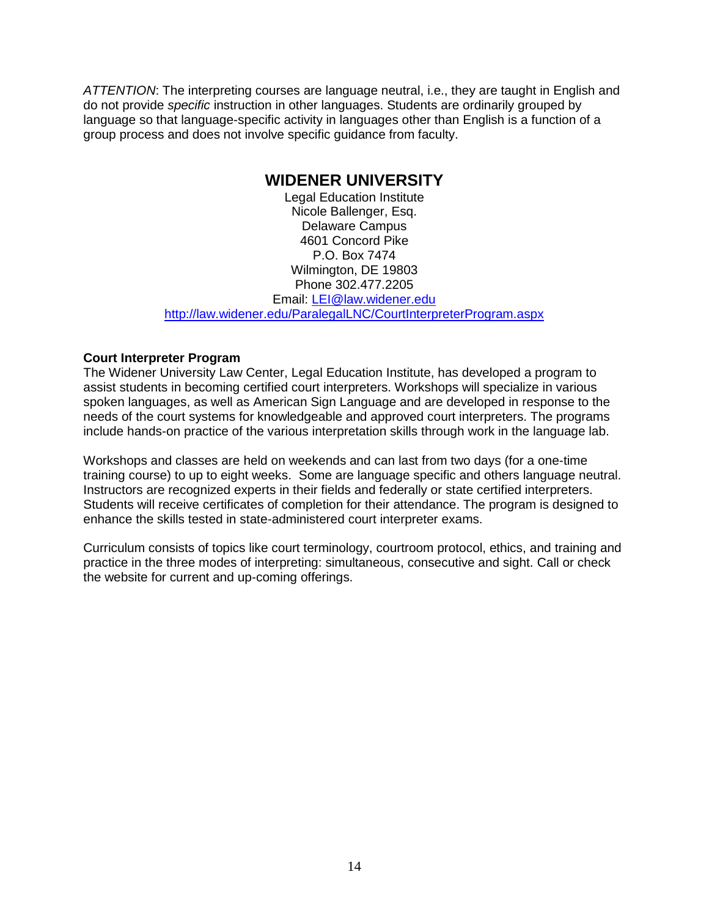*ATTENTION*: The interpreting courses are language neutral, i.e., they are taught in English and do not provide *specific* instruction in other languages. Students are ordinarily grouped by language so that language-specific activity in languages other than English is a function of a group process and does not involve specific guidance from faculty.

## **WIDENER UNIVERSITY**

Legal Education Institute Nicole Ballenger, Esq. Delaware Campus 4601 Concord Pike P.O. Box 7474 Wilmington, DE 19803 Phone 302.477.2205 Email: [LEI@law.widener.edu](mailto:LEI@law.widener.edu)

<http://law.widener.edu/ParalegalLNC/CourtInterpreterProgram.aspx>

#### **Court Interpreter Program**

The Widener University Law Center, Legal Education Institute, has developed a program to assist students in becoming certified court interpreters. Workshops will specialize in various spoken languages, as well as American Sign Language and are developed in response to the needs of the court systems for knowledgeable and approved court interpreters. The programs include hands-on practice of the various interpretation skills through work in the language lab.

Workshops and classes are held on weekends and can last from two days (for a one-time training course) to up to eight weeks. Some are language specific and others language neutral. Instructors are recognized experts in their fields and federally or state certified interpreters. Students will receive certificates of completion for their attendance. The program is designed to enhance the skills tested in state-administered court interpreter exams.

Curriculum consists of topics like court terminology, courtroom protocol, ethics, and training and practice in the three modes of interpreting: simultaneous, consecutive and sight. Call or check the website for current and up-coming offerings.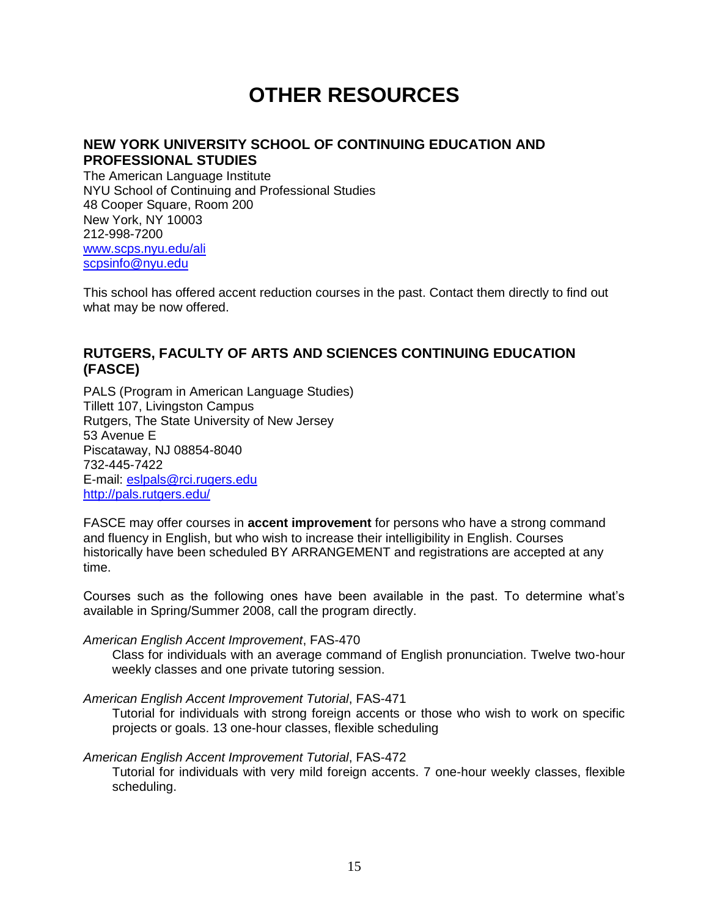# **OTHER RESOURCES**

## **NEW YORK UNIVERSITY SCHOOL OF CONTINUING EDUCATION AND PROFESSIONAL STUDIES**

The American Language Institute NYU School of Continuing and Professional Studies 48 Cooper Square, Room 200 New York, NY 10003 212-998-7200 [www.scps.nyu.edu/ali](http://www.scps.nyu.edu/ali) [scpsinfo@nyu.edu](mailto:scpsinfo@nyu.edu)

This school has offered accent reduction courses in the past. Contact them directly to find out what may be now offered.

## **RUTGERS, FACULTY OF ARTS AND SCIENCES CONTINUING EDUCATION (FASCE)**

PALS (Program in American Language Studies) Tillett 107, Livingston Campus Rutgers, The State University of New Jersey 53 Avenue E Piscataway, NJ 08854-8040 732-445-7422 E-mail: [eslpals@rci.rugers.edu](mailto:eslpals@rci.rugers.edu) <http://pals.rutgers.edu/>

FASCE may offer courses in **accent improvement** for persons who have a strong command and fluency in English, but who wish to increase their intelligibility in English. Courses historically have been scheduled BY ARRANGEMENT and registrations are accepted at any time.

Courses such as the following ones have been available in the past. To determine what's available in Spring/Summer 2008, call the program directly.

#### *American English Accent Improvement*, FAS-470

Class for individuals with an average command of English pronunciation. Twelve two-hour weekly classes and one private tutoring session.

#### *American English Accent Improvement Tutorial*, FAS-471

Tutorial for individuals with strong foreign accents or those who wish to work on specific projects or goals. 13 one-hour classes, flexible scheduling

#### *American English Accent Improvement Tutorial*, FAS-472

Tutorial for individuals with very mild foreign accents. 7 one-hour weekly classes, flexible scheduling.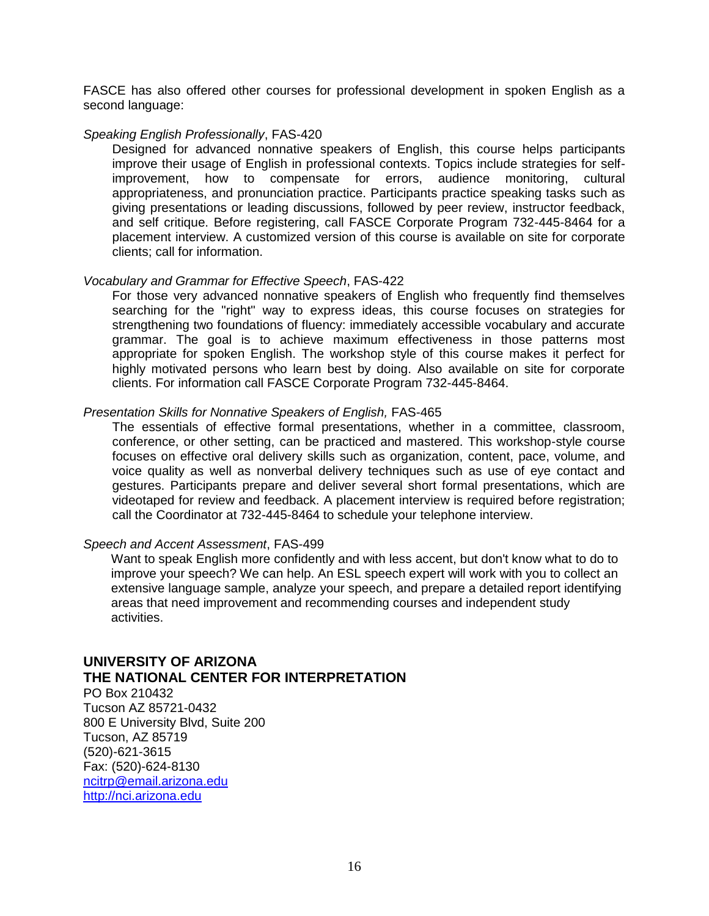FASCE has also offered other courses for professional development in spoken English as a second language:

#### *Speaking English Professionally*, FAS-420

Designed for advanced nonnative speakers of English, this course helps participants improve their usage of English in professional contexts. Topics include strategies for selfimprovement, how to compensate for errors, audience monitoring, cultural appropriateness, and pronunciation practice. Participants practice speaking tasks such as giving presentations or leading discussions, followed by peer review, instructor feedback, and self critique. Before registering, call FASCE Corporate Program 732-445-8464 for a placement interview. A customized version of this course is available on site for corporate clients; call for information.

#### *Vocabulary and Grammar for Effective Speech*, FAS-422

For those very advanced nonnative speakers of English who frequently find themselves searching for the "right" way to express ideas, this course focuses on strategies for strengthening two foundations of fluency: immediately accessible vocabulary and accurate grammar. The goal is to achieve maximum effectiveness in those patterns most appropriate for spoken English. The workshop style of this course makes it perfect for highly motivated persons who learn best by doing. Also available on site for corporate clients. For information call FASCE Corporate Program 732-445-8464.

#### *Presentation Skills for Nonnative Speakers of English,* FAS-465

The essentials of effective formal presentations, whether in a committee, classroom, conference, or other setting, can be practiced and mastered. This workshop-style course focuses on effective oral delivery skills such as organization, content, pace, volume, and voice quality as well as nonverbal delivery techniques such as use of eye contact and gestures. Participants prepare and deliver several short formal presentations, which are videotaped for review and feedback. A placement interview is required before registration; call the Coordinator at 732-445-8464 to schedule your telephone interview.

#### *Speech and Accent Assessment*, FAS-499

Want to speak English more confidently and with less accent, but don't know what to do to improve your speech? We can help. An ESL speech expert will work with you to collect an extensive language sample, analyze your speech, and prepare a detailed report identifying areas that need improvement and recommending courses and independent study activities.

#### **UNIVERSITY OF ARIZONA THE NATIONAL CENTER FOR INTERPRETATION**

PO Box 210432 Tucson AZ 85721-0432 800 E University Blvd, Suite 200 Tucson, AZ 85719 (520)-621-3615 Fax: (520)-624-8130 [ncitrp@email.arizona.edu](mailto:ncitrp@email.arizona.edu) [http://nci.arizona.edu](http://nci.arizona.edu/)